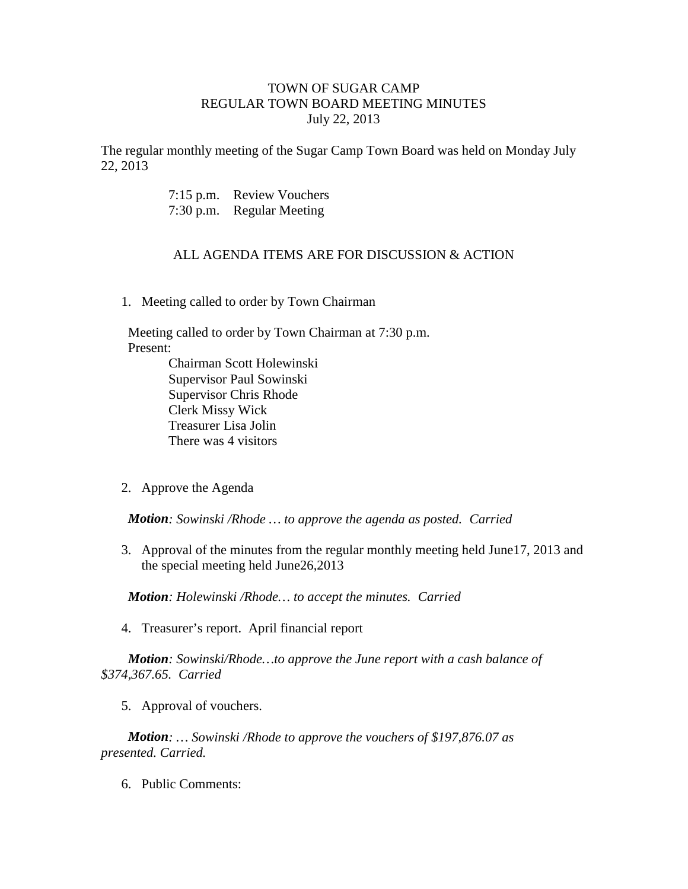## TOWN OF SUGAR CAMP REGULAR TOWN BOARD MEETING MINUTES July 22, 2013

The regular monthly meeting of the Sugar Camp Town Board was held on Monday July 22, 2013

> 7:15 p.m. Review Vouchers 7:30 p.m. Regular Meeting

## ALL AGENDA ITEMS ARE FOR DISCUSSION & ACTION

1. Meeting called to order by Town Chairman

 Meeting called to order by Town Chairman at 7:30 p.m. Present: Chairman Scott Holewinski

Supervisor Paul Sowinski Supervisor Chris Rhode Clerk Missy Wick Treasurer Lisa Jolin There was 4 visitors

2. Approve the Agenda

*Motion: Sowinski /Rhode … to approve the agenda as posted. Carried*

3. Approval of the minutes from the regular monthly meeting held June17, 2013 and the special meeting held June26,2013

*Motion: Holewinski /Rhode… to accept the minutes. Carried*

4. Treasurer's report. April financial report

*Motion: Sowinski/Rhode…to approve the June report with a cash balance of \$374,367.65. Carried*

5. Approval of vouchers.

*Motion: … Sowinski /Rhode to approve the vouchers of \$197,876.07 as presented. Carried.*

6. Public Comments: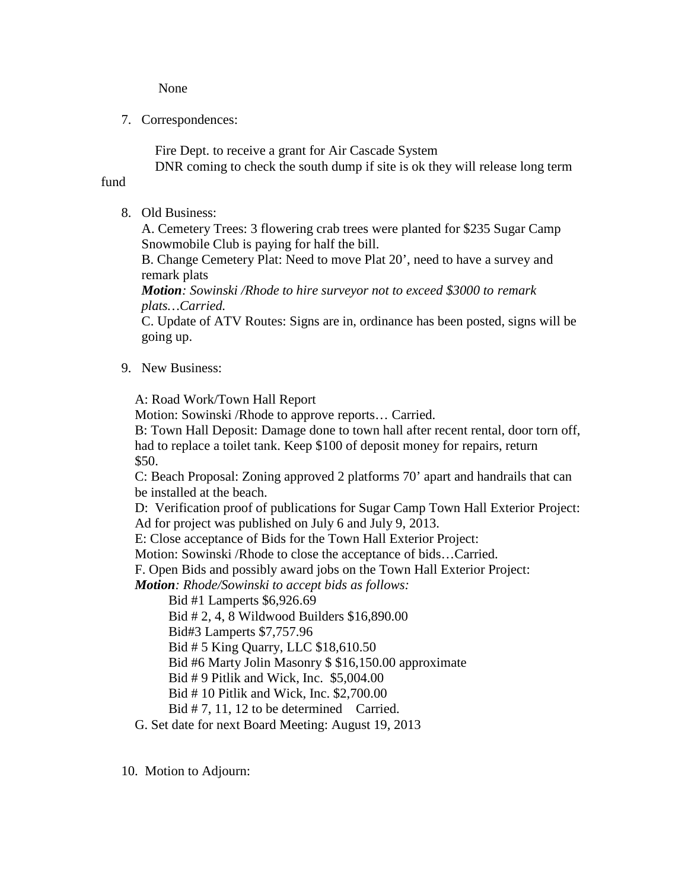None

7. Correspondences:

Fire Dept. to receive a grant for Air Cascade System

DNR coming to check the south dump if site is ok they will release long term

- fund
	- 8. Old Business:

A. Cemetery Trees: 3 flowering crab trees were planted for \$235 Sugar Camp Snowmobile Club is paying for half the bill.

B. Change Cemetery Plat: Need to move Plat 20', need to have a survey and remark plats

*Motion: Sowinski /Rhode to hire surveyor not to exceed \$3000 to remark plats…Carried.*

C. Update of ATV Routes: Signs are in, ordinance has been posted, signs will be going up.

9. New Business:

A: Road Work/Town Hall Report

Motion: Sowinski /Rhode to approve reports… Carried.

B: Town Hall Deposit: Damage done to town hall after recent rental, door torn off, had to replace a toilet tank. Keep \$100 of deposit money for repairs, return \$50.

C: Beach Proposal: Zoning approved 2 platforms 70' apart and handrails that can be installed at the beach.

D: Verification proof of publications for Sugar Camp Town Hall Exterior Project: Ad for project was published on July 6 and July 9, 2013.

E: Close acceptance of Bids for the Town Hall Exterior Project:

Motion: Sowinski /Rhode to close the acceptance of bids…Carried.

F. Open Bids and possibly award jobs on the Town Hall Exterior Project:

*Motion: Rhode/Sowinski to accept bids as follows:*

Bid #1 Lamperts \$6,926.69

Bid # 2, 4, 8 Wildwood Builders \$16,890.00

Bid#3 Lamperts \$7,757.96

Bid # 5 King Quarry, LLC \$18,610.50

Bid #6 Marty Jolin Masonry \$ \$16,150.00 approximate

Bid # 9 Pitlik and Wick, Inc. \$5,004.00

Bid # 10 Pitlik and Wick, Inc. \$2,700.00

Bid # 7, 11, 12 to be determined Carried.

G. Set date for next Board Meeting: August 19, 2013

10. Motion to Adjourn: